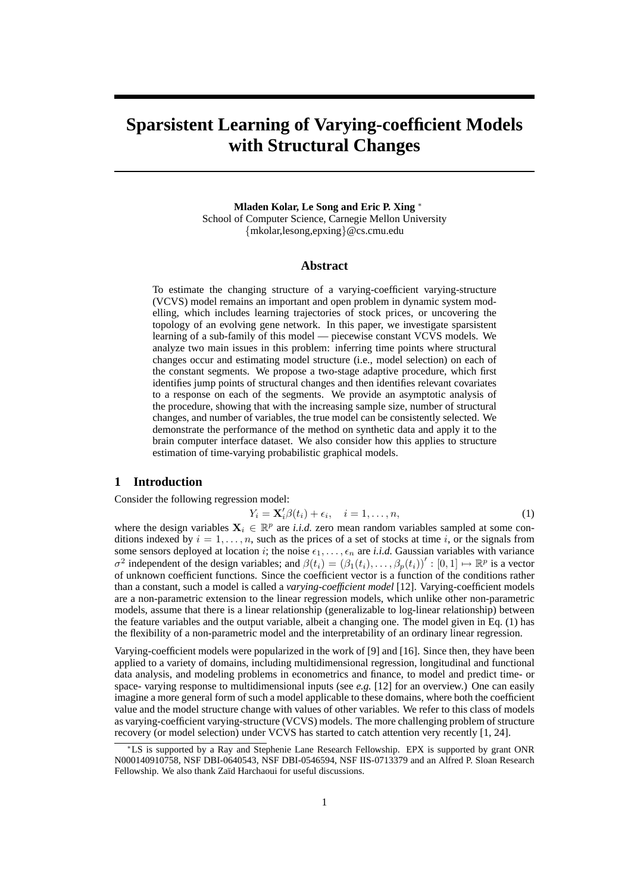# **Sparsistent Learning of Varying-coefficient Models with Structural Changes**

**Mladen Kolar, Le Song and Eric P. Xing** <sup>∗</sup> School of Computer Science, Carnegie Mellon University {mkolar,lesong,epxing}@cs.cmu.edu

## **Abstract**

To estimate the changing structure of a varying-coefficient varying-structure (VCVS) model remains an important and open problem in dynamic system modelling, which includes learning trajectories of stock prices, or uncovering the topology of an evolving gene network. In this paper, we investigate sparsistent learning of a sub-family of this model — piecewise constant VCVS models. We analyze two main issues in this problem: inferring time points where structural changes occur and estimating model structure (i.e., model selection) on each of the constant segments. We propose a two-stage adaptive procedure, which first identifies jump points of structural changes and then identifies relevant covariates to a response on each of the segments. We provide an asymptotic analysis of the procedure, showing that with the increasing sample size, number of structural changes, and number of variables, the true model can be consistently selected. We demonstrate the performance of the method on synthetic data and apply it to the brain computer interface dataset. We also consider how this applies to structure estimation of time-varying probabilistic graphical models.

## **1 Introduction**

Consider the following regression model:

$$
Y_i = \mathbf{X}'_i \beta(t_i) + \epsilon_i, \quad i = 1, \dots, n,
$$
\n(1)

where the design variables  $X_i \in \mathbb{R}^p$  are *i.i.d.* zero mean random variables sampled at some conditions indexed by  $i = 1, \ldots, n$ , such as the prices of a set of stocks at time i, or the signals from some sensors deployed at location i; the noise  $\epsilon_1, \ldots, \epsilon_n$  are *i.i.d.* Gaussian variables with variance  $\sigma^2$  independent of the design variables; and  $\beta(t_i) = (\beta_1(t_i), \dots, \beta_p(t_i))' : [0, 1] \mapsto \mathbb{R}^p$  is a vector of unknown coefficient functions. Since the coefficient vector is a function of the conditions rather than a constant, such a model is called a *varying-coefficient model* [12]. Varying-coefficient models are a non-parametric extension to the linear regression models, which unlike other non-parametric models, assume that there is a linear relationship (generalizable to log-linear relationship) between the feature variables and the output variable, albeit a changing one. The model given in Eq. (1) has the flexibility of a non-parametric model and the interpretability of an ordinary linear regression.

Varying-coefficient models were popularized in the work of [9] and [16]. Since then, they have been applied to a variety of domains, including multidimensional regression, longitudinal and functional data analysis, and modeling problems in econometrics and finance, to model and predict time- or space- varying response to multidimensional inputs (see *e.g.* [12] for an overview.) One can easily imagine a more general form of such a model applicable to these domains, where both the coefficient value and the model structure change with values of other variables. We refer to this class of models as varying-coefficient varying-structure (VCVS) models. The more challenging problem of structure recovery (or model selection) under VCVS has started to catch attention very recently [1, 24].

<sup>∗</sup>LS is supported by a Ray and Stephenie Lane Research Fellowship. EPX is supported by grant ONR N000140910758, NSF DBI-0640543, NSF DBI-0546594, NSF IIS-0713379 and an Alfred P. Sloan Research Fellowship. We also thank Zaïd Harchaoui for useful discussions.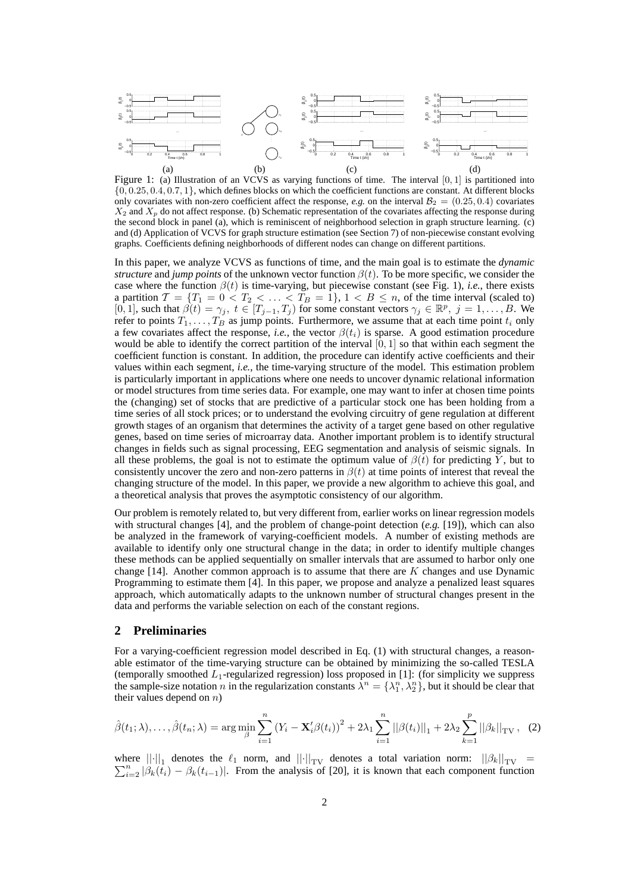

Figure 1: (a) Illustration of an VCVS as varying functions of time. The interval [0, 1] is partitioned into  $\{0, 0.25, 0.4, 0.7, 1\}$ , which defines blocks on which the coefficient functions are constant. At different blocks only covariates with non-zero coefficient affect the response, *e.g.* on the interval  $B_2 = (0.25, 0.4)$  covariates  $X_2$  and  $X_p$  do not affect response. (b) Schematic representation of the covariates affecting the response during the second block in panel (a), which is reminiscent of neighborhood selection in graph structure learning. (c) and (d) Application of VCVS for graph structure estimation (see Section 7) of non-piecewise constant evolving graphs. Coefficients defining neighborhoods of different nodes can change on different partitions.

In this paper, we analyze VCVS as functions of time, and the main goal is to estimate the *dynamic structure* and *jump points* of the unknown vector function  $\beta(t)$ . To be more specific, we consider the case where the function  $\beta(t)$  is time-varying, but piecewise constant (see Fig. 1), *i.e.*, there exists a partition  $\mathcal{T} = \{T_1 = 0 < T_2 < \ldots < T_B = 1\}, 1 < B \leq n$ , of the time interval (scaled to)  $[0, 1]$ , such that  $\beta(t) = \gamma_j$ ,  $t \in [T_{j-1}, T_j)$  for some constant vectors  $\gamma_j \in \mathbb{R}^p$ ,  $j = 1, ..., B$ . We refer to points  $T_1, \ldots, T_B$  as jump points. Furthermore, we assume that at each time point  $t_i$  only a few covariates affect the response, *i.e.*, the vector  $\beta(t_i)$  is sparse. A good estimation procedure would be able to identify the correct partition of the interval  $[0, 1]$  so that within each segment the coefficient function is constant. In addition, the procedure can identify active coefficients and their values within each segment, *i.e.*, the time-varying structure of the model. This estimation problem is particularly important in applications where one needs to uncover dynamic relational information or model structures from time series data. For example, one may want to infer at chosen time points the (changing) set of stocks that are predictive of a particular stock one has been holding from a time series of all stock prices; or to understand the evolving circuitry of gene regulation at different growth stages of an organism that determines the activity of a target gene based on other regulative genes, based on time series of microarray data. Another important problem is to identify structural changes in fields such as signal processing, EEG segmentation and analysis of seismic signals. In all these problems, the goal is not to estimate the optimum value of  $\beta(t)$  for predicting Y, but to consistently uncover the zero and non-zero patterns in  $\beta(t)$  at time points of interest that reveal the changing structure of the model. In this paper, we provide a new algorithm to achieve this goal, and a theoretical analysis that proves the asymptotic consistency of our algorithm.

Our problem is remotely related to, but very different from, earlier works on linear regression models with structural changes [4], and the problem of change-point detection (*e.g.* [19]), which can also be analyzed in the framework of varying-coefficient models. A number of existing methods are available to identify only one structural change in the data; in order to identify multiple changes these methods can be applied sequentially on smaller intervals that are assumed to harbor only one change  $[14]$ . Another common approach is to assume that there are K changes and use Dynamic Programming to estimate them [4]. In this paper, we propose and analyze a penalized least squares approach, which automatically adapts to the unknown number of structural changes present in the data and performs the variable selection on each of the constant regions.

# **2 Preliminaries**

For a varying-coefficient regression model described in Eq. (1) with structural changes, a reasonable estimator of the time-varying structure can be obtained by minimizing the so-called TESLA (temporally smoothed  $L_1$ -regularized regression) loss proposed in [1]: (for simplicity we suppress the sample-size notation n in the regularization constants  $\lambda^n = \{\lambda^n_1, \lambda^n_2\}$ , but it should be clear that their values depend on  $n$ )

$$
\hat{\beta}(t_1; \lambda), \dots, \hat{\beta}(t_n; \lambda) = \arg \min_{\beta} \sum_{i=1}^n (Y_i - \mathbf{X}_i' \beta(t_i))^2 + 2\lambda_1 \sum_{i=1}^n ||\beta(t_i)||_1 + 2\lambda_2 \sum_{k=1}^p ||\beta_k||_{TV}, \quad (2)
$$

where  $\|\cdot\|_1$  denotes the  $\ell_1$  norm, and  $\|\cdot\|_{TV}$  denotes a total variation norm:  $\|\beta_k\|_{TV} =$  $\sum_{i=2}^{n} |\beta_k(t_i) - \beta_k(t_{i-1})|$ . From the analysis of [20], it is known that each component function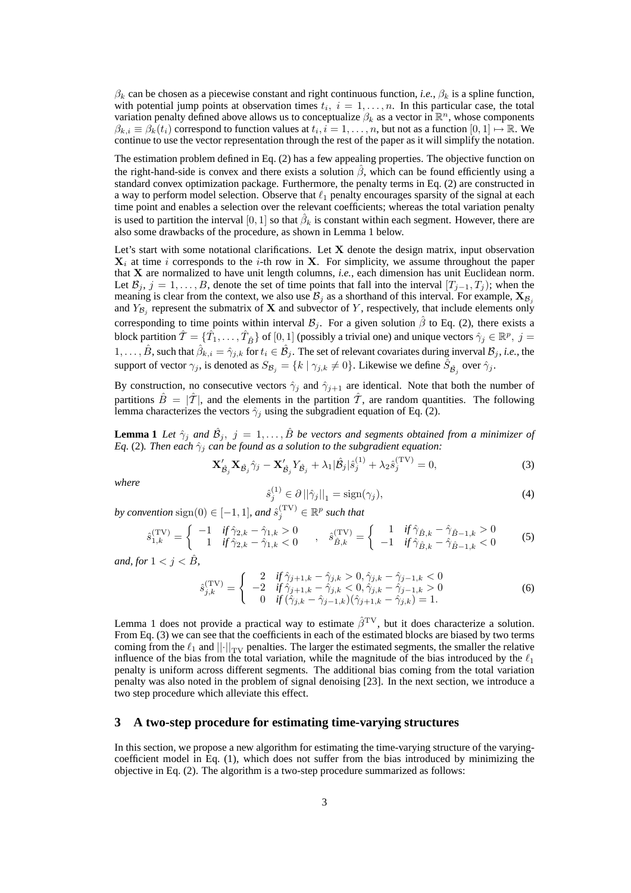$\beta_k$  can be chosen as a piecewise constant and right continuous function, *i.e.*,  $\beta_k$  is a spline function, with potential jump points at observation times  $t_i$ ,  $i = 1, \ldots, n$ . In this particular case, the total variation penalty defined above allows us to conceptualize  $\beta_k$  as a vector in  $\mathbb{R}^n$ , whose components  $\beta_{k,i} \equiv \beta_k(t_i)$  correspond to function values at  $t_i, i = 1, \ldots, n$ , but not as a function  $[0, 1] \mapsto \mathbb{R}$ . We continue to use the vector representation through the rest of the paper as it will simplify the notation.

The estimation problem defined in Eq. (2) has a few appealing properties. The objective function on the right-hand-side is convex and there exists a solution  $\beta$ , which can be found efficiently using a standard convex optimization package. Furthermore, the penalty terms in Eq. (2) are constructed in a way to perform model selection. Observe that  $\ell_1$  penalty encourages sparsity of the signal at each time point and enables a selection over the relevant coefficients; whereas the total variation penalty is used to partition the interval  $[0,1]$  so that  $\hat{\beta}_k$  is constant within each segment. However, there are also some drawbacks of the procedure, as shown in Lemma 1 below.

Let's start with some notational clarifications. Let  $X$  denote the design matrix, input observation  $X_i$  at time i corresponds to the i-th row in X. For simplicity, we assume throughout the paper that X are normalized to have unit length columns, *i.e.*, each dimension has unit Euclidean norm. Let  $B_i$ ,  $j = 1, \ldots, B$ , denote the set of time points that fall into the interval  $[T_{i-1}, T_i]$ ; when the meaning is clear from the context, we also use  $\mathcal{B}_j$  as a shorthand of this interval. For example,  $\mathbf{X}_{\mathcal{B}_j}$ and  $Y_{\mathcal{B}_j}$  represent the submatrix of **X** and subvector of Y, respectively, that include elements only corresponding to time points within interval  $\mathcal{B}_i$ . For a given solution  $\hat{\beta}$  to Eq. (2), there exists a block partition  $\hat{T} = \{\hat{T}_1, \dots, \hat{T}_{\hat{B}}\}$  of  $[0, 1]$  (possibly a trivial one) and unique vectors  $\hat{\gamma}_j \in \mathbb{R}^p$ ,  $j =$  $1,\ldots,\hat{B}$ , such that  $\hat{\beta}_{k,i} = \hat{\gamma}_{j,k}$  for  $t_i \in \hat{\mathcal{B}}_j$ . The set of relevant covariates during inverval  $\mathcal{B}_j$ , *i.e.*, the support of vector  $\gamma_j$ , is denoted as  $S_{\mathcal{B}_j} = \{k \mid \gamma_{j,k} \neq 0\}$ . Likewise we define  $\hat{S}_{\hat{\mathcal{B}}_j}$  over  $\hat{\gamma}_j$ .

By construction, no consecutive vectors  $\hat{\gamma}_j$  and  $\hat{\gamma}_{j+1}$  are identical. Note that both the number of partitions  $\hat{B} = |\hat{T}|$ , and the elements in the partition  $\hat{T}$ , are random quantities. The following lemma characterizes the vectors  $\hat{\gamma}_j$  using the subgradient equation of Eq. (2).

**Lemma 1** *Let*  $\hat{\gamma}_j$  *and*  $\hat{\mathcal{B}}_j$ ,  $j = 1, ..., \hat{B}$  *be vectors and segments obtained from a minimizer of Eq.* (2). Then each  $\hat{\gamma}_j$  *can be found as a solution to the subgradient equation:* 

$$
\mathbf{X}_{\hat{\mathcal{B}}_j}^{\prime} \mathbf{X}_{\hat{\mathcal{B}}_j} \hat{\gamma}_j - \mathbf{X}_{\hat{\mathcal{B}}_j}^{\prime} Y_{\hat{\mathcal{B}}_j} + \lambda_1 |\hat{\mathcal{B}}_j| \hat{s}_j^{(1)} + \lambda_2 \hat{s}_j^{(\text{TV})} = 0,
$$
\n(3)

*where*

$$
\hat{s}_j^{(1)} \in \partial \left| \left| \hat{\gamma}_j \right| \right|_1 = \text{sign}(\gamma_j),\tag{4}
$$

*by convention*  $sign(0) \in [-1, 1]$ *, and*  $\hat{s}_j^{(\text{TV})} \in \mathbb{R}^p$  such that

$$
\hat{s}_{1,k}^{(\text{TV})} = \begin{cases}\n-1 & \text{if } \hat{\gamma}_{2,k} - \hat{\gamma}_{1,k} > 0 \\
1 & \text{if } \hat{\gamma}_{2,k} - \hat{\gamma}_{1,k} < 0\n\end{cases}, \quad \hat{s}_{\hat{B},k}^{(\text{TV})} = \begin{cases}\n1 & \text{if } \hat{\gamma}_{\hat{B},k} - \hat{\gamma}_{\hat{B}-1,k} > 0 \\
-1 & \text{if } \hat{\gamma}_{\hat{B},k} - \hat{\gamma}_{\hat{B}-1,k} < 0\n\end{cases}
$$
\n(5)

*and, for*  $1 < j < \hat{B}$ *,* 

$$
\hat{s}_{j,k}^{(\text{TV})} = \begin{cases}\n2 & \text{if } \hat{\gamma}_{j+1,k} - \hat{\gamma}_{j,k} > 0, \hat{\gamma}_{j,k} - \hat{\gamma}_{j-1,k} < 0 \\
-2 & \text{if } \hat{\gamma}_{j+1,k} - \hat{\gamma}_{j,k} < 0, \hat{\gamma}_{j,k} - \hat{\gamma}_{j-1,k} > 0 \\
0 & \text{if } (\hat{\gamma}_{j,k} - \hat{\gamma}_{j-1,k}) (\hat{\gamma}_{j+1,k} - \hat{\gamma}_{j,k}) = 1.\n\end{cases}
$$
\n(6)

Lemma 1 does not provide a practical way to estimate  $\hat{\beta}^{\text{TV}}$ , but it does characterize a solution. From Eq. (3) we can see that the coefficients in each of the estimated blocks are biased by two terms coming from the  $\ell_1$  and  $||\cdot||_{TV}$  penalties. The larger the estimated segments, the smaller the relative influence of the bias from the total variation, while the magnitude of the bias introduced by the  $\ell_1$ penalty is uniform across different segments. The additional bias coming from the total variation penalty was also noted in the problem of signal denoising [23]. In the next section, we introduce a two step procedure which alleviate this effect.

## **3 A two-step procedure for estimating time-varying structures**

In this section, we propose a new algorithm for estimating the time-varying structure of the varyingcoefficient model in Eq. (1), which does not suffer from the bias introduced by minimizing the objective in Eq. (2). The algorithm is a two-step procedure summarized as follows: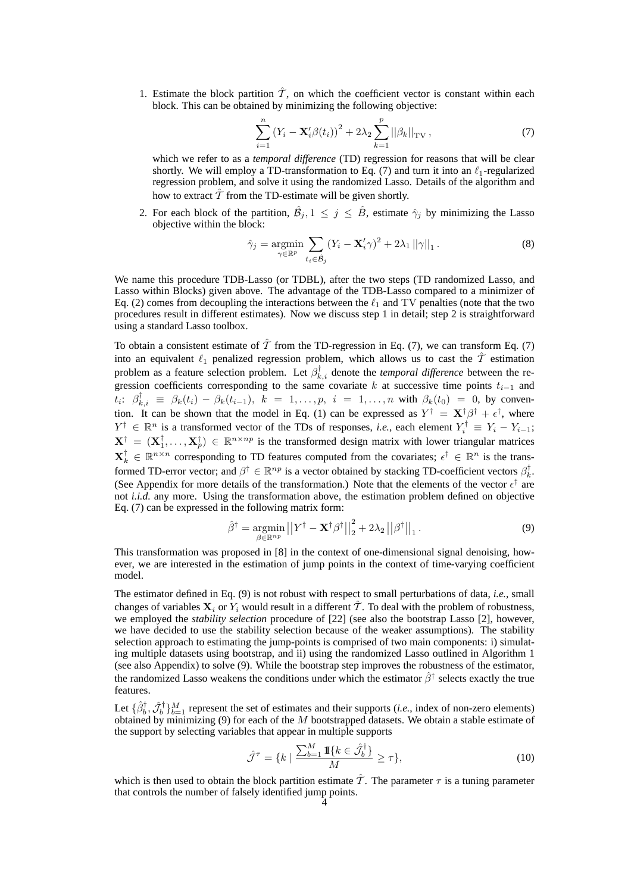1. Estimate the block partition  $\hat{T}$ , on which the coefficient vector is constant within each block. This can be obtained by minimizing the following objective:

$$
\sum_{i=1}^{n} (Y_i - \mathbf{X}'_i \beta(t_i))^2 + 2\lambda_2 \sum_{k=1}^{p} ||\beta_k||_{\text{TV}},
$$
\n(7)

which we refer to as a *temporal difference* (TD) regression for reasons that will be clear shortly. We will employ a TD-transformation to Eq. (7) and turn it into an  $\ell_1$ -regularized regression problem, and solve it using the randomized Lasso. Details of the algorithm and how to extract  $\hat{\mathcal{T}}$  from the TD-estimate will be given shortly.

2. For each block of the partition,  $\hat{\mathcal{B}}_j$ ,  $1 \leq j \leq \hat{\mathcal{B}}$ , estimate  $\hat{\gamma}_j$  by minimizing the Lasso objective within the block:

$$
\hat{\gamma}_j = \underset{\gamma \in \mathbb{R}^p}{\text{argmin}} \sum_{t_i \in \hat{\mathcal{B}}_j} (Y_i - \mathbf{X}_i' \gamma)^2 + 2\lambda_1 ||\gamma||_1. \tag{8}
$$

We name this procedure TDB-Lasso (or TDBL), after the two steps (TD randomized Lasso, and Lasso within Blocks) given above. The advantage of the TDB-Lasso compared to a minimizer of Eq. (2) comes from decoupling the interactions between the  $\ell_1$  and TV penalties (note that the two procedures result in different estimates). Now we discuss step 1 in detail; step 2 is straightforward using a standard Lasso toolbox.

To obtain a consistent estimate of  $\hat{\mathcal{T}}$  from the TD-regression in Eq. (7), we can transform Eq. (7) into an equivalent  $\ell_1$  penalized regression problem, which allows us to cast the  $\hat{\mathcal{T}}$  estimation problem as a feature selection problem. Let  $\beta_{k,i}^{\dagger}$  denote the *temporal difference* between the regression coefficients corresponding to the same covariate k at successive time points  $t_{i-1}$  and  $t_i$ :  $\beta_{k,i}^{\dagger} \equiv \beta_k(t_i) - \beta_k(t_{i-1}), \; k = 1, \ldots, p, \; i = 1, \ldots, n$  with  $\beta_k(t_0) = 0$ , by convention. It can be shown that the model in Eq. (1) can be expressed as  $Y^{\dagger} = \mathbf{X}^{\dagger} \beta^{\dagger} + \epsilon^{\dagger}$ , where  $Y^{\dagger} \in \mathbb{R}^n$  is a transformed vector of the TDs of responses, *i.e.*, each element  $Y_i^{\dagger} \equiv Y_i - Y_{i-1}$ ;  $X^{\dagger} = (X_1^{\dagger}, \dots, X_p^{\dagger}) \in \mathbb{R}^{n \times np}$  is the transformed design matrix with lower triangular matrices  $\mathbf{X}_k^{\dagger} \in \mathbb{R}^{n \times n}$  corresponding to TD features computed from the covariates;  $\epsilon^{\dagger} \in \mathbb{R}^n$  is the transformed TD-error vector; and  $\beta^{\dagger} \in \mathbb{R}^{np}$  is a vector obtained by stacking TD-coefficient vectors  $\beta_k^{\dagger}$ . (See Appendix for more details of the transformation.) Note that the elements of the vector  $\epsilon^{\dagger}$  are not *i.i.d.* any more. Using the transformation above, the estimation problem defined on objective Eq. (7) can be expressed in the following matrix form:

$$
\hat{\beta}^{\dagger} = \underset{\beta \in \mathbb{R}^{np}}{\operatorname{argmin}} \left| \left| Y^{\dagger} - \mathbf{X}^{\dagger} \beta^{\dagger} \right| \right|_{2}^{2} + 2\lambda_{2} \left| \left| \beta^{\dagger} \right| \right|_{1}.
$$
\n(9)

This transformation was proposed in [8] in the context of one-dimensional signal denoising, however, we are interested in the estimation of jump points in the context of time-varying coefficient model.

The estimator defined in Eq. (9) is not robust with respect to small perturbations of data, *i.e.*, small changes of variables  $X_i$  or  $Y_i$  would result in a different  $\tilde{T}$ . To deal with the problem of robustness, we employed the *stability selection* procedure of [22] (see also the bootstrap Lasso [2], however, we have decided to use the stability selection because of the weaker assumptions). The stability selection approach to estimating the jump-points is comprised of two main components: i) simulating multiple datasets using bootstrap, and ii) using the randomized Lasso outlined in Algorithm 1 (see also Appendix) to solve (9). While the bootstrap step improves the robustness of the estimator, the randomized Lasso weakens the conditions under which the estimator  $\hat{\beta}^{\dagger}$  selects exactly the true features.

Let  $\{\hat{\beta}_b^{\dagger}, \hat{\mathcal{J}}_b^{\dagger}\}_{b=1}^M$  represent the set of estimates and their supports (*i.e.*, index of non-zero elements) obtained by minimizing  $(9)$  for each of the M bootstrapped datasets. We obtain a stable estimate of the support by selecting variables that appear in multiple supports

$$
\hat{\mathcal{J}}^{\tau} = \{k \mid \frac{\sum_{b=1}^{M} \mathbb{I}\{k \in \hat{\mathcal{J}}_b^{\dagger}\}}{M} \geq \tau\},\tag{10}
$$

which is then used to obtain the block partition estimate  $\hat{\mathcal{T}}$ . The parameter  $\tau$  is a tuning parameter that controls the number of falsely identified jump points.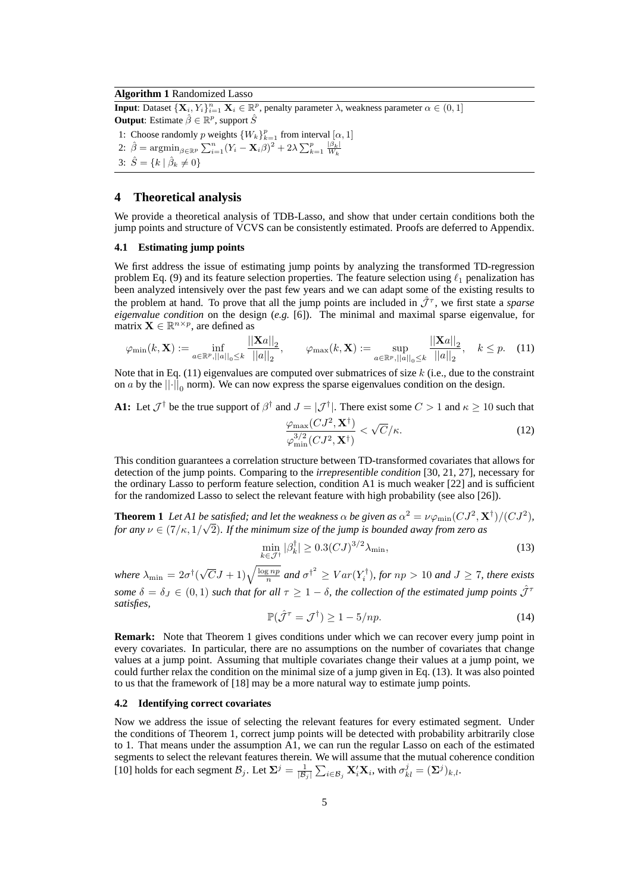#### **Algorithm 1** Randomized Lasso

**Input**: Dataset  $\{X_i, Y_i\}_{i=1}^n$   $X_i \in \mathbb{R}^p$ , penalty parameter  $\lambda$ , weakness parameter  $\alpha \in (0, 1]$ **Output**: Estimate  $\hat{\beta} \in \mathbb{R}^p$ , support  $\hat{S}$ 1: Choose randomly p weights  $\{W_k\}_{k=1}^p$  from interval  $[\alpha, 1]$ 2:  $\hat{\beta} = \operatorname{argmin}_{\beta \in \mathbb{R}^p} \sum_{i=1}^n (Y_i - \mathbf{X}_i \beta)^2 + 2\lambda \sum_{k=1}^p \frac{|\beta_k|}{W_k}$ 3:  $\hat{S} = \{k \mid \hat{\beta}_k \neq 0\}$ 

## **4 Theoretical analysis**

We provide a theoretical analysis of TDB-Lasso, and show that under certain conditions both the jump points and structure of VCVS can be consistently estimated. Proofs are deferred to Appendix.

#### **4.1 Estimating jump points**

We first address the issue of estimating jump points by analyzing the transformed TD-regression problem Eq. (9) and its feature selection properties. The feature selection using  $\ell_1$  penalization has been analyzed intensively over the past few years and we can adapt some of the existing results to the problem at hand. To prove that all the jump points are included in  $\hat{\mathcal{J}}^{\tau}$ , we first state a *sparse eigenvalue condition* on the design (*e.g.* [6]). The minimal and maximal sparse eigenvalue, for matrix  $\mathbf{X} \in \mathbb{R}^{n \times p}$ , are defined as

$$
\varphi_{\min}(k, \mathbf{X}) := \inf_{a \in \mathbb{R}^p, ||a||_0 \le k} \frac{||\mathbf{X}a||_2}{||a||_2}, \qquad \varphi_{\max}(k, \mathbf{X}) := \sup_{a \in \mathbb{R}^p, ||a||_0 \le k} \frac{||\mathbf{X}a||_2}{||a||_2}, \quad k \le p. \tag{11}
$$

Note that in Eq.  $(11)$  eigenvalues are computed over submatrices of size k (i.e., due to the constraint on *a* by the  $|| \cdot ||_0$  norm). We can now express the sparse eigenvalues condition on the design.

**A1:** Let  $\mathcal{J}^{\dagger}$  be the true support of  $\beta^{\dagger}$  and  $J = |\mathcal{J}^{\dagger}|$ . There exist some  $C > 1$  and  $\kappa \ge 10$  such that

$$
\frac{\varphi_{\max}(CJ^2, \mathbf{X}^\dagger)}{\varphi_{\min}^{3/2}(CJ^2, \mathbf{X}^\dagger)} < \sqrt{C}/\kappa. \tag{12}
$$

This condition guarantees a correlation structure between TD-transformed covariates that allows for detection of the jump points. Comparing to the *irrepresentible condition* [30, 21, 27], necessary for the ordinary Lasso to perform feature selection, condition A1 is much weaker [22] and is sufficient for the randomized Lasso to select the relevant feature with high probability (see also [26]).

**Theorem 1** Let A1 be satisfied; and let the weakness  $\alpha$  be given as  $\alpha^2 = \nu \varphi_{\rm min}(C J^2, \mathbf{X}^\dagger)/(C J^2)$ , *for any*  $\nu \in (7/\kappa, 1/\sqrt{2})$ *. If the minimum size of the jump is bounded away from zero as* 

$$
\min_{k \in \mathcal{J}^{\dagger}} |\beta_k^{\dagger}| \ge 0.3 (C J)^{3/2} \lambda_{\min},\tag{13}
$$

where  $\lambda_{\min} = 2\sigma^{\dagger}(\sqrt{C}J + 1)\sqrt{\frac{\log np}{n}}$  and  $\sigma^{\dagger^2} \geq Var(Y_i^{\dagger})$ , for  $np > 10$  and  $J \geq 7$ , there exists *some*  $\delta = \delta_J \in (0,1)$  *such that for all*  $\tau \geq 1 - \delta$ *, the collection of the estimated jump points*  $\hat{\mathcal{J}}^{\tau}$ *satisfies,*

$$
\mathbb{P}(\hat{\mathcal{J}}^{\tau} = \mathcal{J}^{\dagger}) \ge 1 - 5/np. \tag{14}
$$

**Remark:** Note that Theorem 1 gives conditions under which we can recover every jump point in every covariates. In particular, there are no assumptions on the number of covariates that change values at a jump point. Assuming that multiple covariates change their values at a jump point, we could further relax the condition on the minimal size of a jump given in Eq. (13). It was also pointed to us that the framework of [18] may be a more natural way to estimate jump points.

#### **4.2 Identifying correct covariates**

Now we address the issue of selecting the relevant features for every estimated segment. Under the conditions of Theorem 1, correct jump points will be detected with probability arbitrarily close to 1. That means under the assumption A1, we can run the regular Lasso on each of the estimated segments to select the relevant features therein. We will assume that the mutual coherence condition [10] holds for each segment  $\mathcal{B}_j$ . Let  $\mathbf{\Sigma}^j = \frac{1}{|\mathcal{B}_j|} \sum_{i \in \mathcal{B}_j} \mathbf{X}_i' \mathbf{X}_i$ , with  $\sigma_{kl}^j = (\mathbf{\Sigma}^j)_{k,l}$ .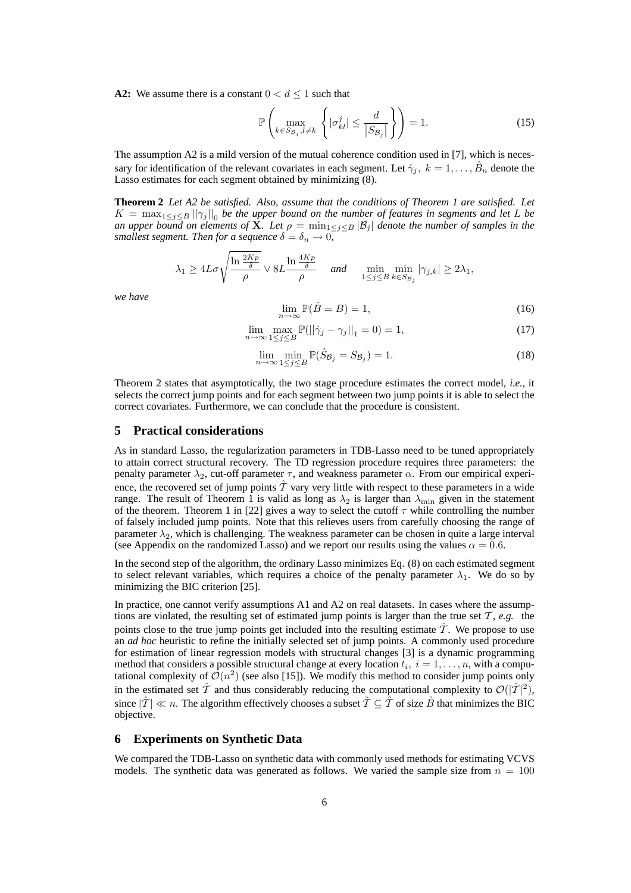**A2:** We assume there is a constant  $0 < d \leq 1$  such that

$$
\mathbb{P}\left(\max_{k \in S_{\mathcal{B}_j}, l \neq k} \left\{ |\sigma_{kl}^j| \le \frac{d}{|S_{\mathcal{B}_j}|} \right\} \right) = 1. \tag{15}
$$

The assumption A2 is a mild version of the mutual coherence condition used in [7], which is necessary for identification of the relevant covariates in each segment. Let  $\hat{\gamma}_j$ ,  $k = 1, \ldots, \hat{B}_n$  denote the Lasso estimates for each segment obtained by minimizing (8).

**Theorem 2** *Let A2 be satisfied. Also, assume that the conditions of Theorem 1 are satisfied. Let*  $K = \max_{1 \leq j \leq B} ||\gamma_j||_0$  be the upper bound on the number of features in segments and let L be *an upper bound on elements of*  $\hat{\mathbf{X}}$ *. Let*  $\rho = \min_{1 \leq j \leq B} |\mathcal{B}_j|$  *denote the number of samples in the smallest segment. Then for a sequence*  $\delta = \delta_n \to 0$ *,* 

$$
\lambda_1 \ge 4L\sigma \sqrt{\frac{\ln \frac{2Kp}{\delta}}{\rho}} \vee 8L \frac{\ln \frac{4Kp}{\delta}}{\rho} \quad \text{and} \quad \min_{1 \le j \le B} \min_{k \in S_{\mathcal{B}_j}} |\gamma_{j,k}| \ge 2\lambda_1,
$$

*we have*

$$
\lim_{n \to \infty} \mathbb{P}(\hat{B} = B) = 1,\tag{16}
$$

$$
\lim_{n \to \infty} \max_{1 \le j \le B} \mathbb{P}(||\hat{\gamma}_j - \gamma_j||_1 = 0) = 1,
$$
\n(17)

$$
\lim_{n \to \infty} \min_{1 \le j \le B} \mathbb{P}(\hat{S}_{\mathcal{B}_j} = S_{\mathcal{B}_j}) = 1.
$$
\n(18)

Theorem 2 states that asymptotically, the two stage procedure estimates the correct model, *i.e.*, it selects the correct jump points and for each segment between two jump points it is able to select the correct covariates. Furthermore, we can conclude that the procedure is consistent.

## **5 Practical considerations**

As in standard Lasso, the regularization parameters in TDB-Lasso need to be tuned appropriately to attain correct structural recovery. The TD regression procedure requires three parameters: the penalty parameter  $\lambda_2$ , cut-off parameter  $\tau$ , and weakness parameter  $\alpha$ . From our empirical experience, the recovered set of jump points  $\hat{T}$  vary very little with respect to these parameters in a wide range. The result of Theorem 1 is valid as long as  $\lambda_2$  is larger than  $\lambda_{\min}$  given in the statement of the theorem. Theorem 1 in [22] gives a way to select the cutoff  $\tau$  while controlling the number of falsely included jump points. Note that this relieves users from carefully choosing the range of parameter  $\lambda_2$ , which is challenging. The weakness parameter can be chosen in quite a large interval (see Appendix on the randomized Lasso) and we report our results using the values  $\alpha = 0.6$ .

In the second step of the algorithm, the ordinary Lasso minimizes Eq. (8) on each estimated segment to select relevant variables, which requires a choice of the penalty parameter  $\lambda_1$ . We do so by minimizing the BIC criterion [25].

In practice, one cannot verify assumptions A1 and A2 on real datasets. In cases where the assumptions are violated, the resulting set of estimated jump points is larger than the true set  $T$ ,  $e.g.$  the points close to the true jump points get included into the resulting estimate  $\tilde{T}$ . We propose to use an *ad hoc* heuristic to refine the initially selected set of jump points. A commonly used procedure for estimation of linear regression models with structural changes [3] is a dynamic programming method that considers a possible structural change at every location  $t_i$ ,  $i = 1, \ldots, n$ , with a computational complexity of  $\mathcal{O}(n^2)$  (see also [15]). We modify this method to consider jump points only in the estimated set  $\hat{\mathcal{T}}$  and thus considerably reducing the computational complexity to  $\mathcal{O}(|\hat{\mathcal{T}}|^2)$ , since  $|\hat{T}| \ll n$ . The algorithm effectively chooses a subset  $\tilde{T} \subseteq \hat{T}$  of size  $\hat{B}$  that minimizes the BIC objective.

## **6 Experiments on Synthetic Data**

We compared the TDB-Lasso on synthetic data with commonly used methods for estimating VCVS models. The synthetic data was generated as follows. We varied the sample size from  $n = 100$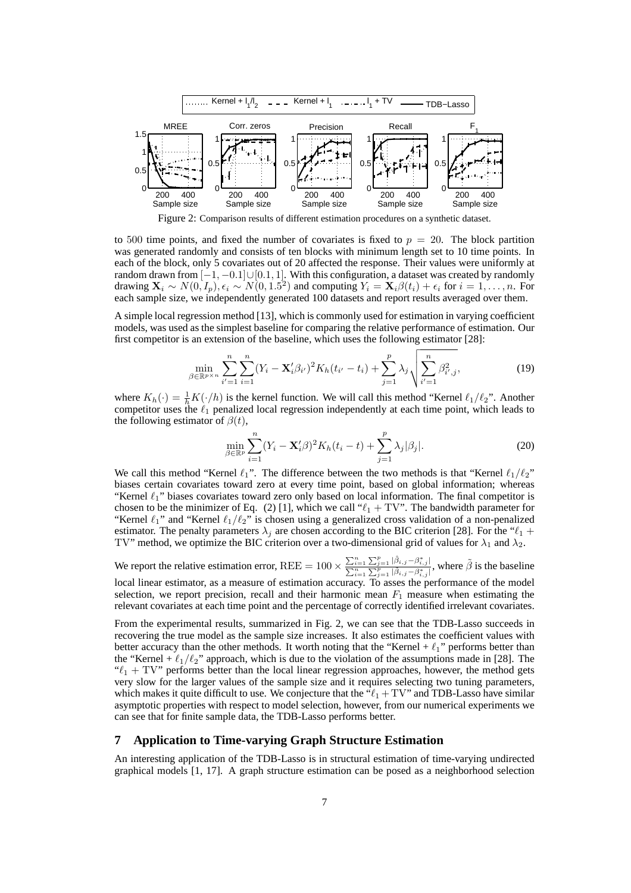

Figure 2: Comparison results of different estimation procedures on a synthetic dataset.

to 500 time points, and fixed the number of covariates is fixed to  $p = 20$ . The block partition was generated randomly and consists of ten blocks with minimum length set to 10 time points. In each of the block, only 5 covariates out of 20 affected the response. Their values were uniformly at random drawn from  $[-1, -0.1] \cup [0.1, 1]$ . With this configuration, a dataset was created by randomly drawing  $\mathbf{X}_i \sim N(0, I_p), \epsilon_i \sim N(0, 1.5^2)$  and computing  $Y_i = \mathbf{X}_i \beta(t_i) + \epsilon_i$  for  $i = 1, ..., n$ . For each sample size, we independently generated 100 datasets and report results averaged over them.

A simple local regression method [13], which is commonly used for estimation in varying coefficient models, was used as the simplest baseline for comparing the relative performance of estimation. Our first competitor is an extension of the baseline, which uses the following estimator [28]:

$$
\min_{\beta \in \mathbb{R}^{p \times n}} \sum_{i'=1}^{n} \sum_{i=1}^{n} (Y_i - \mathbf{X}'_i \beta_{i'})^2 K_h(t_{i'} - t_i) + \sum_{j=1}^{p} \lambda_j \sqrt{\sum_{i'=1}^{n} \beta_{i',j}^2},
$$
\n(19)

where  $K_h(\cdot) = \frac{1}{h} K(\cdot/h)$  is the kernel function. We will call this method "Kernel  $\ell_1/\ell_2$ ". Another competitor uses the  $\ell_1$  penalized local regression independently at each time point, which leads to the following estimator of  $\beta(t)$ ,

$$
\min_{\beta \in \mathbb{R}^p} \sum_{i=1}^n (Y_i - \mathbf{X}'_i \beta)^2 K_h(t_i - t) + \sum_{j=1}^p \lambda_j |\beta_j|.
$$
 (20)

We call this method "Kernel  $\ell_1$ ". The difference between the two methods is that "Kernel  $\ell_1/\ell_2$ " biases certain covariates toward zero at every time point, based on global information; whereas "Kernel  $\ell_1$ " biases covariates toward zero only based on local information. The final competitor is chosen to be the minimizer of Eq. (2) [1], which we call " $\ell_1 + TV$ ". The bandwidth parameter for "Kernel  $\ell_1$ " and "Kernel  $\ell_1/\ell_2$ " is chosen using a generalized cross validation of a non-penalized estimator. The penalty parameters  $\lambda_i$  are chosen according to the BIC criterion [28]. For the " $\ell_1$  + TV" method, we optimize the BIC criterion over a two-dimensional grid of values for  $\lambda_1$  and  $\lambda_2$ .

We report the relative estimation error, REE =  $100 \times \frac{\sum_{i=1}^{n} \sum_{j=1}^{p} |\hat{\beta}_{i,j} - \beta_{i,j}^*|}{\sum_{i=1}^{n} \sum_{j=1}^{p} |\hat{\beta}_{i,j} - \beta_{i,j}^*|}$  $\frac{\sum_{i=1}^{n} \sum_{j=1}^{p} |\beta_{i,j} - \beta_{i,j}|}{\sum_{i=1}^{n} \sum_{j=1}^{p} |\tilde{\beta}_{i,j} - \beta_{i,j}|}$ , where  $\tilde{\beta}$  is the baseline local linear estimator, as a measure of estimation accuracy. To asses the performance of the model

selection, we report precision, recall and their harmonic mean  $F_1$  measure when estimating the relevant covariates at each time point and the percentage of correctly identified irrelevant covariates.

From the experimental results, summarized in Fig. 2, we can see that the TDB-Lasso succeeds in recovering the true model as the sample size increases. It also estimates the coefficient values with better accuracy than the other methods. It worth noting that the "Kernel +  $\ell_1$ " performs better than the "Kernel +  $\ell_1/\ell_2$ " approach, which is due to the violation of the assumptions made in [28]. The " $\ell_1$  + TV" performs better than the local linear regression approaches, however, the method gets very slow for the larger values of the sample size and it requires selecting two tuning parameters, which makes it quite difficult to use. We conjecture that the  $\mathbf{H}^{\text{e}}(t_1 + TV^{\text{e}})$  and TDB-Lasso have similar asymptotic properties with respect to model selection, however, from our numerical experiments we can see that for finite sample data, the TDB-Lasso performs better.

## **7 Application to Time-varying Graph Structure Estimation**

An interesting application of the TDB-Lasso is in structural estimation of time-varying undirected graphical models [1, 17]. A graph structure estimation can be posed as a neighborhood selection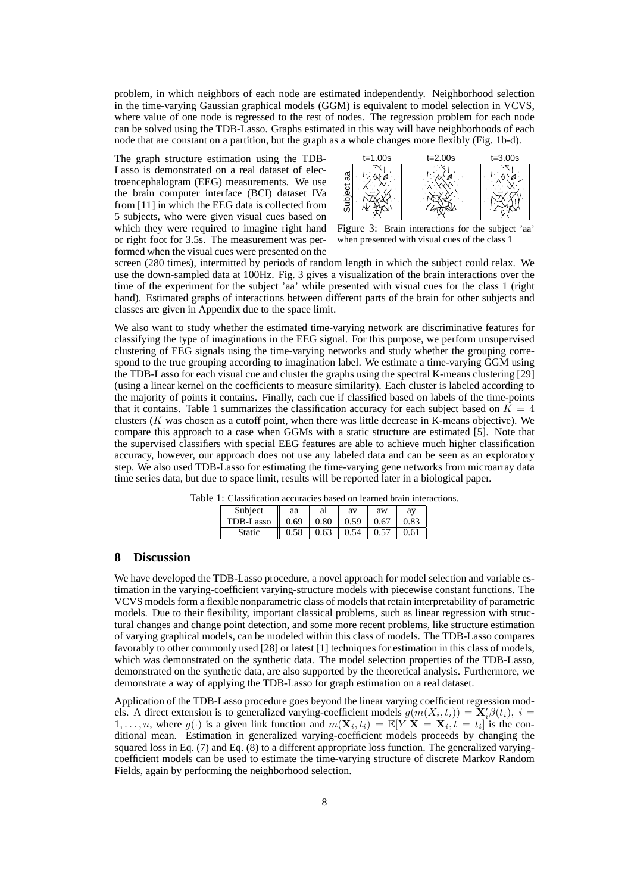problem, in which neighbors of each node are estimated independently. Neighborhood selection in the time-varying Gaussian graphical models (GGM) is equivalent to model selection in VCVS, where value of one node is regressed to the rest of nodes. The regression problem for each node can be solved using the TDB-Lasso. Graphs estimated in this way will have neighborhoods of each node that are constant on a partition, but the graph as a whole changes more flexibly (Fig. 1b-d).

The graph structure estimation using the TDB-Lasso is demonstrated on a real dataset of electroencephalogram (EEG) measurements. We use the brain computer interface (BCI) dataset IVa from [11] in which the EEG data is collected from 5 subjects, who were given visual cues based on which they were required to imagine right hand or right foot for 3.5s. The measurement was performed when the visual cues were presented on the



Figure 3: Brain interactions for the subject 'aa' when presented with visual cues of the class 1

screen (280 times), intermitted by periods of random length in which the subject could relax. We use the down-sampled data at 100Hz. Fig. 3 gives a visualization of the brain interactions over the time of the experiment for the subject 'aa' while presented with visual cues for the class 1 (right hand). Estimated graphs of interactions between different parts of the brain for other subjects and classes are given in Appendix due to the space limit.

We also want to study whether the estimated time-varying network are discriminative features for classifying the type of imaginations in the EEG signal. For this purpose, we perform unsupervised clustering of EEG signals using the time-varying networks and study whether the grouping correspond to the true grouping according to imagination label. We estimate a time-varying GGM using the TDB-Lasso for each visual cue and cluster the graphs using the spectral K-means clustering [29] (using a linear kernel on the coefficients to measure similarity). Each cluster is labeled according to the majority of points it contains. Finally, each cue if classified based on labels of the time-points that it contains. Table 1 summarizes the classification accuracy for each subject based on  $K = 4$ clusters ( $K$  was chosen as a cutoff point, when there was little decrease in K-means objective). We compare this approach to a case when GGMs with a static structure are estimated [5]. Note that the supervised classifiers with special EEG features are able to achieve much higher classification accuracy, however, our approach does not use any labeled data and can be seen as an exploratory step. We also used TDB-Lasso for estimating the time-varying gene networks from microarray data time series data, but due to space limit, results will be reported later in a biological paper.

| Subject   | aa   | al   | av   | aw   | av   |
|-----------|------|------|------|------|------|
| TDB-Lasso | 0.69 | 0.80 | 0.59 | 0.67 | 0.83 |
| Static    | 0.58 | 0.63 | 0.54 | 0.57 | 0.61 |

Table 1: Classification accuracies based on learned brain interactions.

## **8 Discussion**

We have developed the TDB-Lasso procedure, a novel approach for model selection and variable estimation in the varying-coefficient varying-structure models with piecewise constant functions. The VCVS models form a flexible nonparametric class of models that retain interpretability of parametric models. Due to their flexibility, important classical problems, such as linear regression with structural changes and change point detection, and some more recent problems, like structure estimation of varying graphical models, can be modeled within this class of models. The TDB-Lasso compares favorably to other commonly used [28] or latest [1] techniques for estimation in this class of models, which was demonstrated on the synthetic data. The model selection properties of the TDB-Lasso, demonstrated on the synthetic data, are also supported by the theoretical analysis. Furthermore, we demonstrate a way of applying the TDB-Lasso for graph estimation on a real dataset.

Application of the TDB-Lasso procedure goes beyond the linear varying coefficient regression models. A direct extension is to generalized varying-coefficient models  $g(m(X_i, t_i)) = \mathbf{X}'_i \beta(t_i), i =$ 1, ..., *n*, where  $g(\cdot)$  is a given link function and  $m(\mathbf{X}_i, t_i) = \mathbb{E}[Y]\mathbf{X} = \mathbf{X}_i, t = t_i$  is the conditional mean. Estimation in generalized varying-coefficient models proceeds by changing the squared loss in Eq. (7) and Eq. (8) to a different appropriate loss function. The generalized varyingcoefficient models can be used to estimate the time-varying structure of discrete Markov Random Fields, again by performing the neighborhood selection.